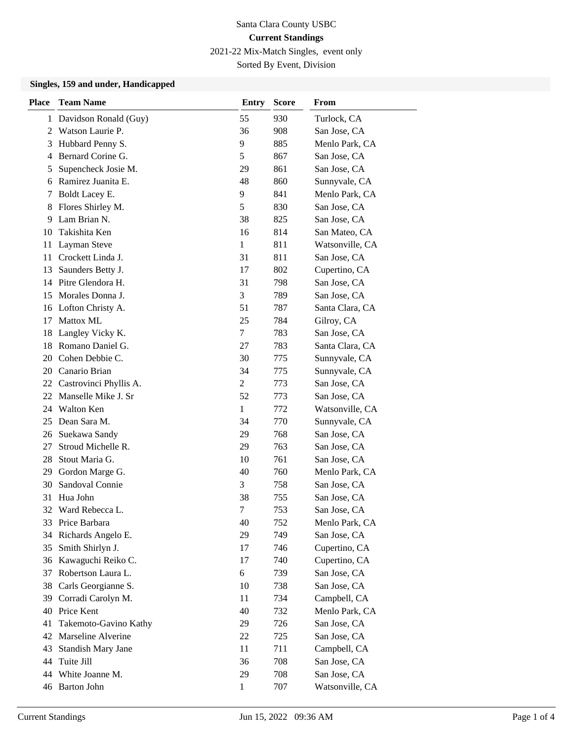2021-22 Mix-Match Singles, event only

Sorted By Event, Division

### **Singles, 159 and under, Handicapped**

| <b>Place</b> | <b>Team Name</b>       | Entry        | <b>Score</b> | From            |
|--------------|------------------------|--------------|--------------|-----------------|
| 1            | Davidson Ronald (Guy)  | 55           | 930          | Turlock, CA     |
| 2            | Watson Laurie P.       | 36           | 908          | San Jose, CA    |
| 3            | Hubbard Penny S.       | 9            | 885          | Menlo Park, CA  |
| 4            | Bernard Corine G.      | 5            | 867          | San Jose, CA    |
| 5            | Supencheck Josie M.    | 29           | 861          | San Jose, CA    |
| 6            | Ramirez Juanita E.     | 48           | 860          | Sunnyvale, CA   |
| 7            | Boldt Lacey E.         | 9            | 841          | Menlo Park, CA  |
| 8            | Flores Shirley M.      | 5            | 830          | San Jose, CA    |
| 9            | Lam Brian N.           | 38           | 825          | San Jose, CA    |
| 10           | Takishita Ken          | 16           | 814          | San Mateo, CA   |
| 11           | Layman Steve           | 1            | 811          | Watsonville, CA |
| 11           | Crockett Linda J.      | 31           | 811          | San Jose, CA    |
| 13           | Saunders Betty J.      | 17           | 802          | Cupertino, CA   |
| 14           | Pitre Glendora H.      | 31           | 798          | San Jose, CA    |
| 15           | Morales Donna J.       | 3            | 789          | San Jose, CA    |
| 16           | Lofton Christy A.      | 51           | 787          | Santa Clara, CA |
| 17           | <b>Mattox ML</b>       | 25           | 784          | Gilroy, CA      |
| 18           | Langley Vicky K.       | 7            | 783          | San Jose, CA    |
| 18           | Romano Daniel G.       | 27           | 783          | Santa Clara, CA |
| 20           | Cohen Debbie C.        | 30           | 775          | Sunnyvale, CA   |
| 20           | Canario Brian          | 34           | 775          | Sunnyvale, CA   |
| 22           | Castrovinci Phyllis A. | 2            | 773          | San Jose, CA    |
| 22           | Manselle Mike J. Sr    | 52           | 773          | San Jose, CA    |
| 24           | Walton Ken             | 1            | 772          | Watsonville, CA |
| 25           | Dean Sara M.           | 34           | 770          | Sunnyvale, CA   |
| 26           | Suekawa Sandy          | 29           | 768          | San Jose, CA    |
| 27           | Stroud Michelle R.     | 29           | 763          | San Jose, CA    |
| 28           | Stout Maria G.         | 10           | 761          | San Jose, CA    |
| 29           | Gordon Marge G.        | 40           | 760          | Menlo Park, CA  |
| 30           | Sandoval Connie        | 3            | 758          | San Jose, CA    |
| 31           | Hua John               | 38           | 755          | San Jose, CA    |
| 32           | Ward Rebecca L.        | 7            | 753          | San Jose, CA    |
|              | 33 Price Barbara       | 40           | 752          | Menlo Park, CA  |
| 34           | Richards Angelo E.     | 29           | 749          | San Jose, CA    |
| 35           | Smith Shirlyn J.       | 17           | 746          | Cupertino, CA   |
| 36           | Kawaguchi Reiko C.     | 17           | 740          | Cupertino, CA   |
| 37           | Robertson Laura L.     | 6            | 739          | San Jose, CA    |
| 38           | Carls Georgianne S.    | 10           | 738          | San Jose, CA    |
| 39           | Corradi Carolyn M.     | 11           | 734          | Campbell, CA    |
| 40           | Price Kent             | 40           | 732          | Menlo Park, CA  |
| 41           | Takemoto-Gavino Kathy  | 29           | 726          | San Jose, CA    |
| 42           | Marseline Alverine     | 22           | 725          | San Jose, CA    |
| 43           | Standish Mary Jane     | 11           | 711          | Campbell, CA    |
| 44           | Tuite Jill             | 36           | 708          | San Jose, CA    |
| 44           | White Joanne M.        | 29           | 708          | San Jose, CA    |
|              | 46 Barton John         | $\mathbf{1}$ | 707          | Watsonville, CA |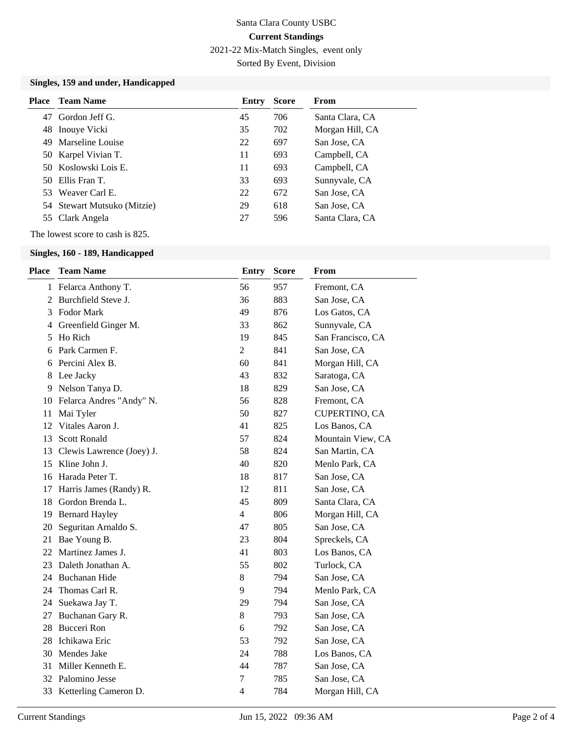2021-22 Mix-Match Singles, event only

Sorted By Event, Division

### **Singles, 159 and under, Handicapped**

| Place | Team Name                   | Entry | <b>Score</b> | From            |
|-------|-----------------------------|-------|--------------|-----------------|
| 47    | Gordon Jeff G.              | 45    | 706          | Santa Clara, CA |
|       | 48 Inouye Vicki             | 35    | 702          | Morgan Hill, CA |
|       | 49 Marseline Louise         | 22    | 697          | San Jose, CA    |
|       | 50 Karpel Vivian T.         | 11    | 693          | Campbell, CA    |
|       | 50 Koslowski Lois E.        | 11    | 693          | Campbell, CA    |
|       | 50 Ellis Fran T.            | 33    | 693          | Sunnyvale, CA   |
|       | 53 Weaver Carl E.           | 22    | 672          | San Jose, CA    |
|       | 54 Stewart Mutsuko (Mitzie) | 29    | 618          | San Jose, CA    |
|       | 55 Clark Angela             | 27    | 596          | Santa Clara, CA |

The lowest score to cash is 825.

### **Singles, 160 - 189, Handicapped**

| <b>Place</b> | <b>Team Name</b>          | <b>Entry</b>   | <b>Score</b> | From              |
|--------------|---------------------------|----------------|--------------|-------------------|
| 1            | Felarca Anthony T.        | 56             | 957          | Fremont, CA       |
| 2            | Burchfield Steve J.       | 36             | 883          | San Jose, CA      |
| 3            | Fodor Mark                | 49             | 876          | Los Gatos, CA     |
| 4            | Greenfield Ginger M.      | 33             | 862          | Sunnyvale, CA     |
| 5            | Ho Rich                   | 19             | 845          | San Francisco, CA |
| 6            | Park Carmen F.            | $\overline{2}$ | 841          | San Jose, CA      |
| 6            | Percini Alex B.           | 60             | 841          | Morgan Hill, CA   |
| 8            | Lee Jacky                 | 43             | 832          | Saratoga, CA      |
| 9            | Nelson Tanya D.           | 18             | 829          | San Jose, CA      |
| 10           | Felarca Andres "Andy" N.  | 56             | 828          | Fremont, CA       |
| 11           | Mai Tyler                 | 50             | 827          | CUPERTINO, CA     |
| 12           | Vitales Aaron J.          | 41             | 825          | Los Banos, CA     |
| 13           | <b>Scott Ronald</b>       | 57             | 824          | Mountain View, CA |
| 13           | Clewis Lawrence (Joey) J. | 58             | 824          | San Martin, CA    |
| 15           | Kline John J.             | 40             | 820          | Menlo Park, CA    |
| 16           | Harada Peter T.           | 18             | 817          | San Jose, CA      |
| 17           | Harris James (Randy) R.   | 12             | 811          | San Jose, CA      |
| 18           | Gordon Brenda L.          | 45             | 809          | Santa Clara, CA   |
| 19           | <b>Bernard Hayley</b>     | $\overline{4}$ | 806          | Morgan Hill, CA   |
| 20           | Seguritan Arnaldo S.      | 47             | 805          | San Jose, CA      |
| 21           | Bae Young B.              | 23             | 804          | Spreckels, CA     |
| 22           | Martinez James J.         | 41             | 803          | Los Banos, CA     |
| 23           | Daleth Jonathan A.        | 55             | 802          | Turlock, CA       |
|              | 24 Buchanan Hide          | $8\,$          | 794          | San Jose, CA      |
| 24           | Thomas Carl R.            | 9              | 794          | Menlo Park, CA    |
| 24           | Suekawa Jay T.            | 29             | 794          | San Jose, CA      |
| 27           | Buchanan Gary R.          | $8\,$          | 793          | San Jose, CA      |
| 28           | <b>Bucceri</b> Ron        | 6              | 792          | San Jose, CA      |
| 28           | Ichikawa Eric             | 53             | 792          | San Jose, CA      |
| 30           | Mendes Jake               | 24             | 788          | Los Banos, CA     |
| 31           | Miller Kenneth E.         | 44             | 787          | San Jose, CA      |
| 32           | Palomino Jesse            | 7              | 785          | San Jose, CA      |
|              | 33 Ketterling Cameron D.  | $\overline{4}$ | 784          | Morgan Hill, CA   |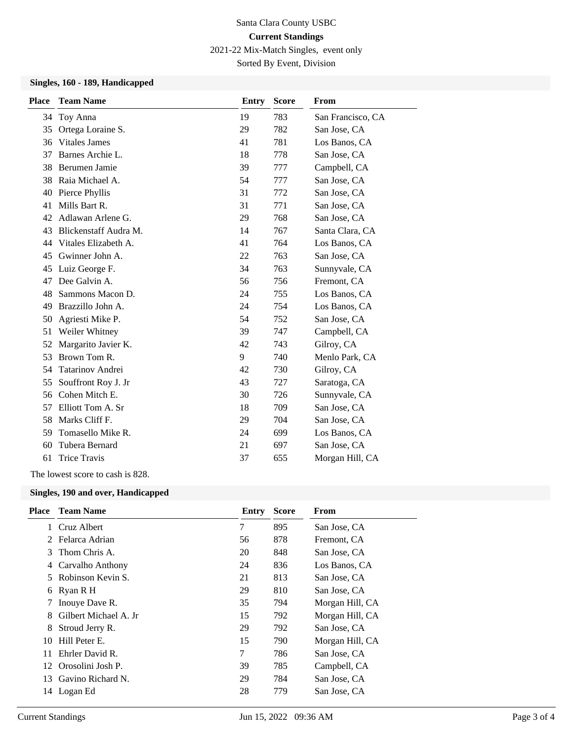2021-22 Mix-Match Singles, event only

Sorted By Event, Division

## **Singles, 160 - 189, Handicapped**

| <b>Place</b> | <b>Team Name</b>      | <b>Entry</b> | <b>Score</b> | From              |
|--------------|-----------------------|--------------|--------------|-------------------|
| 34           | Toy Anna              | 19           | 783          | San Francisco, CA |
| 35           | Ortega Loraine S.     | 29           | 782          | San Jose, CA      |
| 36           | <b>Vitales James</b>  | 41           | 781          | Los Banos, CA     |
| 37           | Barnes Archie L.      | 18           | 778          | San Jose, CA      |
| 38           | Berumen Jamie         | 39           | 777          | Campbell, CA      |
| 38           | Raia Michael A.       | 54           | 777          | San Jose, CA      |
| 40           | Pierce Phyllis        | 31           | 772          | San Jose, CA      |
| 41           | Mills Bart R.         | 31           | 771          | San Jose, CA      |
| 42           | Adlawan Arlene G.     | 29           | 768          | San Jose, CA      |
| 43           | Blickenstaff Audra M. | 14           | 767          | Santa Clara, CA   |
| 44           | Vitales Elizabeth A.  | 41           | 764          | Los Banos, CA     |
| 45           | Gwinner John A.       | 22           | 763          | San Jose, CA      |
| 45           | Luiz George F.        | 34           | 763          | Sunnyvale, CA     |
| 47           | Dee Galvin A.         | 56           | 756          | Fremont, CA       |
| 48           | Sammons Macon D.      | 24           | 755          | Los Banos, CA     |
| 49           | Brazzillo John A.     | 24           | 754          | Los Banos, CA     |
| 50           | Agriesti Mike P.      | 54           | 752          | San Jose, CA      |
| 51           | Weiler Whitney        | 39           | 747          | Campbell, CA      |
| 52           | Margarito Javier K.   | 42           | 743          | Gilroy, CA        |
| 53           | Brown Tom R.          | 9            | 740          | Menlo Park, CA    |
| 54           | Tatarinov Andrei      | 42           | 730          | Gilroy, CA        |
| 55           | Souffront Roy J. Jr   | 43           | 727          | Saratoga, CA      |
| 56           | Cohen Mitch E.        | 30           | 726          | Sunnyvale, CA     |
| 57           | Elliott Tom A. Sr     | 18           | 709          | San Jose, CA      |
| 58           | Marks Cliff F.        | 29           | 704          | San Jose, CA      |
| 59           | Tomasello Mike R.     | 24           | 699          | Los Banos, CA     |
| 60           | Tubera Bernard        | 21           | 697          | San Jose, CA      |
| 61           | <b>Trice Travis</b>   | 37           | 655          | Morgan Hill, CA   |

The lowest score to cash is 828.

### **Singles, 190 and over, Handicapped**

| <b>Place</b> | <b>Team Name</b>      | Entry | <b>Score</b> | From            |
|--------------|-----------------------|-------|--------------|-----------------|
|              | 1 Cruz Albert         | 7     | 895          | San Jose, CA    |
|              | 2 Felarca Adrian      | 56    | 878          | Fremont, CA     |
| 3            | Thom Chris A.         | 20    | 848          | San Jose, CA    |
| 4            | Carvalho Anthony      | 24    | 836          | Los Banos, CA   |
| 5.           | Robinson Kevin S.     | 21    | 813          | San Jose, CA    |
|              | 6 Ryan R H            | 29    | 810          | San Jose, CA    |
|              | Inouye Dave R.        | 35    | 794          | Morgan Hill, CA |
| 8            | Gilbert Michael A. Jr | 15    | 792          | Morgan Hill, CA |
| 8            | Stroud Jerry R.       | 29    | 792          | San Jose, CA    |
| 10           | Hill Peter E.         | 15    | 790          | Morgan Hill, CA |
| 11           | Ehrler David R.       | 7     | 786          | San Jose, CA    |
|              | 12 Orosolini Josh P.  | 39    | 785          | Campbell, CA    |
| 13           | Gavino Richard N.     | 29    | 784          | San Jose, CA    |
| 14           | Logan Ed              | 28    | 779          | San Jose, CA    |
|              |                       |       |              |                 |